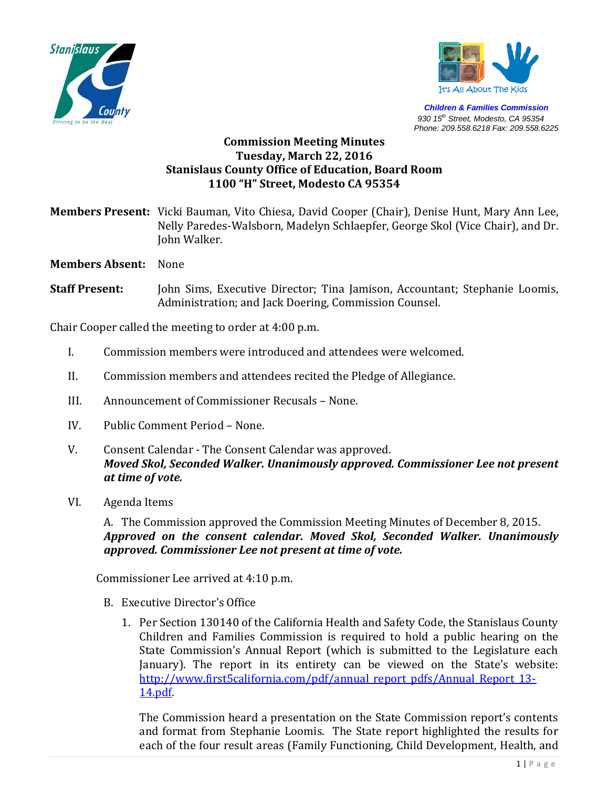



*Children & Families Commission 930 15th Street, Modesto, CA 95354 Phone: 209.558.6218 Fax: 209.558.6225*

# **Commission Meeting Minutes Tuesday, March 22, 2016 Stanislaus County Office of Education, Board Room 1100 "H" Street, Modesto CA 95354**

**Members Present:** Vicki Bauman, Vito Chiesa, David Cooper (Chair), Denise Hunt, Mary Ann Lee, Nelly Paredes-Walsborn, Madelyn Schlaepfer, George Skol (Vice Chair), and Dr. John Walker.

**Members Absent:** None

**Staff Present:** John Sims, Executive Director; Tina Jamison, Accountant; Stephanie Loomis, Administration; and Jack Doering, Commission Counsel.

Chair Cooper called the meeting to order at 4:00 p.m.

- I. Commission members were introduced and attendees were welcomed.
- II. Commission members and attendees recited the Pledge of Allegiance.
- III. Announcement of Commissioner Recusals None.
- IV. Public Comment Period None.
- V. Consent Calendar The Consent Calendar was approved. *Moved Skol, Seconded Walker. Unanimously approved. Commissioner Lee not present at time of vote.*
- VI. Agenda Items

A. The Commission approved the Commission Meeting Minutes of December 8, 2015. *Approved on the consent calendar. Moved Skol, Seconded Walker. Unanimously approved. Commissioner Lee not present at time of vote.*

Commissioner Lee arrived at 4:10 p.m.

- B. Executive Director's Office
	- 1. Per Section 130140 of the California Health and Safety Code, the Stanislaus County Children and Families Commission is required to hold a public hearing on the State Commission's Annual Report (which is submitted to the Legislature each January). The report in its entirety can be viewed on the State's website: [http://www.first5california.com/pdf/annual\\_report\\_pdfs/Annual\\_Report\\_13-](http://www.first5california.com/pdf/annual_report_pdfs/Annual_Report_13-14.pdf) [14.pdf.](http://www.first5california.com/pdf/annual_report_pdfs/Annual_Report_13-14.pdf)

The Commission heard a presentation on the State Commission report's contents and format from Stephanie Loomis. The State report highlighted the results for each of the four result areas (Family Functioning, Child Development, Health, and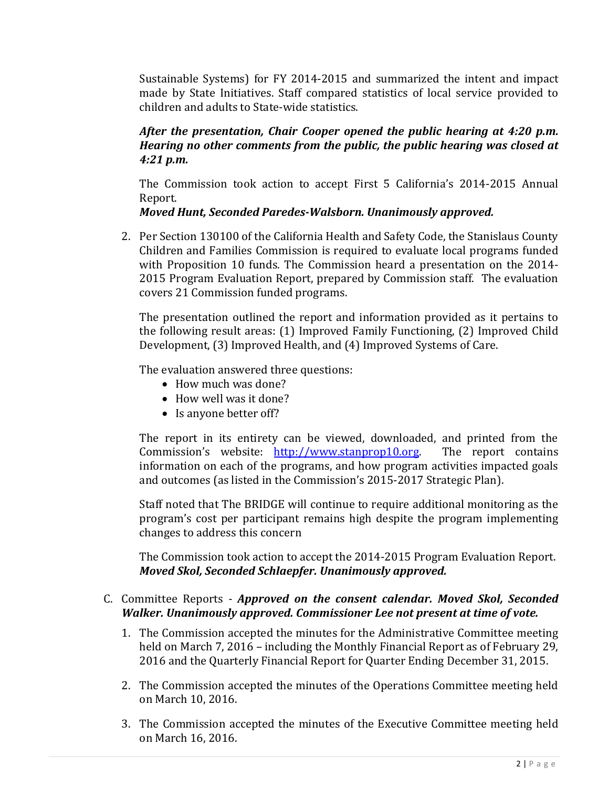Sustainable Systems) for FY 2014-2015 and summarized the intent and impact made by State Initiatives. Staff compared statistics of local service provided to children and adults to State-wide statistics.

#### *After the presentation, Chair Cooper opened the public hearing at 4:20 p.m. Hearing no other comments from the public, the public hearing was closed at 4:21 p.m.*

The Commission took action to accept First 5 California's 2014-2015 Annual Report.

## *Moved Hunt, Seconded Paredes-Walsborn. Unanimously approved.*

2. Per Section 130100 of the California Health and Safety Code, the Stanislaus County Children and Families Commission is required to evaluate local programs funded with Proposition 10 funds. The Commission heard a presentation on the 2014- 2015 Program Evaluation Report, prepared by Commission staff. The evaluation covers 21 Commission funded programs.

The presentation outlined the report and information provided as it pertains to the following result areas: (1) Improved Family Functioning, (2) Improved Child Development, (3) Improved Health, and (4) Improved Systems of Care.

The evaluation answered three questions:

- How much was done?
- How well was it done?
- Is anyone better off?

The report in its entirety can be viewed, downloaded, and printed from the Commission's website: [http://www.stanprop10.org.](http://www.stanprop10.org/) The report contains information on each of the programs, and how program activities impacted goals and outcomes (as listed in the Commission's 2015-2017 Strategic Plan).

Staff noted that The BRIDGE will continue to require additional monitoring as the program's cost per participant remains high despite the program implementing changes to address this concern

The Commission took action to accept the 2014-2015 Program Evaluation Report. *Moved Skol, Seconded Schlaepfer. Unanimously approved.* 

## C. Committee Reports *- Approved on the consent calendar. Moved Skol, Seconded Walker. Unanimously approved. Commissioner Lee not present at time of vote.*

- 1. The Commission accepted the minutes for the Administrative Committee meeting held on March 7, 2016 – including the Monthly Financial Report as of February 29, 2016 and the Quarterly Financial Report for Quarter Ending December 31, 2015.
- 2. The Commission accepted the minutes of the Operations Committee meeting held on March 10, 2016.
- 3. The Commission accepted the minutes of the Executive Committee meeting held on March 16, 2016.